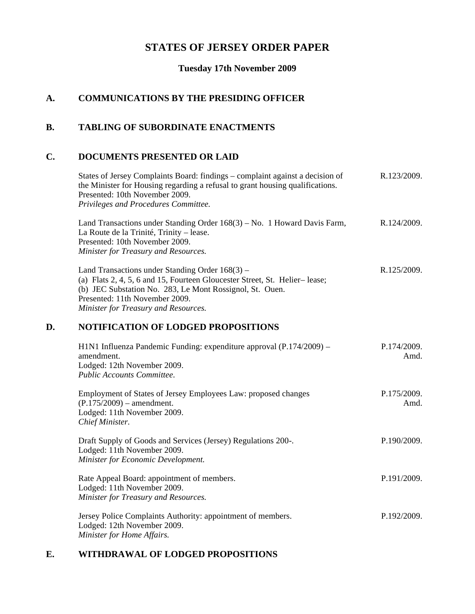# **STATES OF JERSEY ORDER PAPER**

**Tuesday 17th November 2009**

# **A. COMMUNICATIONS BY THE PRESIDING OFFICER**

## **B. TABLING OF SUBORDINATE ENACTMENTS**

#### **C. DOCUMENTS PRESENTED OR LAID**

States of Jersey Complaints Board: findings – complaint against a decision of the Minister for Housing regarding a refusal to grant housing qualifications. Presented: 10th November 2009. *Privileges and Procedures Committee.* R.123/2009.

Land Transactions under Standing Order 168(3) – No. 1 Howard Davis Farm, La Route de la Trinité, Trinity – lease. Presented: 10th November 2009. *Minister for Treasury and Resources.* R.124/2009.

Land Transactions under Standing Order 168(3) – (a) Flats  $2, 4, 5, 6$  and  $15$ , Fourteen Gloucester Street, St. Helier–lease; (b) JEC Substation No. 283, Le Mont Rossignol, St. Ouen. Presented: 11th November 2009. *Minister for Treasury and Resources.* R.125/2009.

## **D. NOTIFICATION OF LODGED PROPOSITIONS**

| H1N1 Influenza Pandemic Funding: expenditure approval (P.174/2009) –<br>amendment.<br>Lodged: 12th November 2009.<br><b>Public Accounts Committee.</b> | P.174/2009.<br>Amd. |
|--------------------------------------------------------------------------------------------------------------------------------------------------------|---------------------|
| Employment of States of Jersey Employees Law: proposed changes<br>$(P.175/2009)$ – amendment.<br>Lodged: 11th November 2009.<br>Chief Minister.        | P.175/2009.<br>Amd. |
| Draft Supply of Goods and Services (Jersey) Regulations 200-.<br>Lodged: 11th November 2009.<br>Minister for Economic Development.                     | P.190/2009.         |
| Rate Appeal Board: appointment of members.<br>Lodged: 11th November 2009.<br>Minister for Treasury and Resources.                                      | P.191/2009.         |
| Jersey Police Complaints Authority: appointment of members.<br>Lodged: 12th November 2009.<br>Minister for Home Affairs.                               | P.192/2009.         |

## **E. WITHDRAWAL OF LODGED PROPOSITIONS**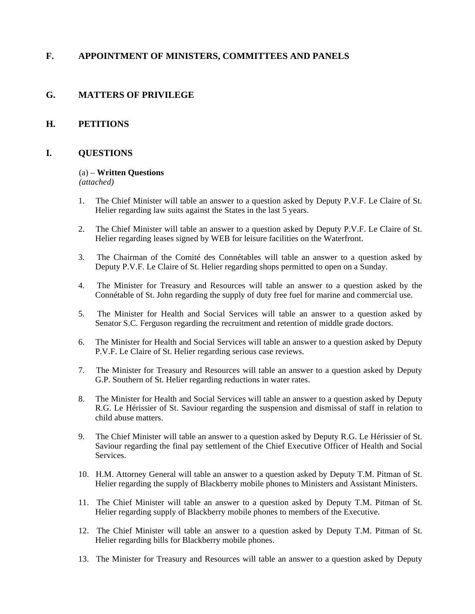## **F. APPOINTMENT OF MINISTERS, COMMITTEES AND PANELS**

## **G. MATTERS OF PRIVILEGE**

#### **H. PETITIONS**

#### **I. QUESTIONS**

#### (a) – **Written Questions**

*(attached)*

- 1. The Chief Minister will table an answer to a question asked by Deputy P.V.F. Le Claire of St. Helier regarding law suits against the States in the last 5 years.
- 2. The Chief Minister will table an answer to a question asked by Deputy P.V.F. Le Claire of St. Helier regarding leases signed by WEB for leisure facilities on the Waterfront.
- 3. The Chairman of the Comité des Connétables will table an answer to a question asked by Deputy P.V.F. Le Claire of St. Helier regarding shops permitted to open on a Sunday.
- 4. The Minister for Treasury and Resources will table an answer to a question asked by the Connétable of St. John regarding the supply of duty free fuel for marine and commercial use.
- 5. The Minister for Health and Social Services will table an answer to a question asked by Senator S.C. Ferguson regarding the recruitment and retention of middle grade doctors.
- 6. The Minister for Health and Social Services will table an answer to a question asked by Deputy P.V.F. Le Claire of St. Helier regarding serious case reviews.
- 7. The Minister for Treasury and Resources will table an answer to a question asked by Deputy G.P. Southern of St. Helier regarding reductions in water rates.
- 8. The Minister for Health and Social Services will table an answer to a question asked by Deputy R.G. Le Hérissier of St. Saviour regarding the suspension and dismissal of staff in relation to child abuse matters.
- 9. The Chief Minister will table an answer to a question asked by Deputy R.G. Le Hérissier of St. Saviour regarding the final pay settlement of the Chief Executive Officer of Health and Social Services.
- 10. H.M. Attorney General will table an answer to a question asked by Deputy T.M. Pitman of St. Helier regarding the supply of Blackberry mobile phones to Ministers and Assistant Ministers.
- 11. The Chief Minister will table an answer to a question asked by Deputy T.M. Pitman of St. Helier regarding supply of Blackberry mobile phones to members of the Executive.
- 12. The Chief Minister will table an answer to a question asked by Deputy T.M. Pitman of St. Helier regarding bills for Blackberry mobile phones.
- 13. The Minister for Treasury and Resources will table an answer to a question asked by Deputy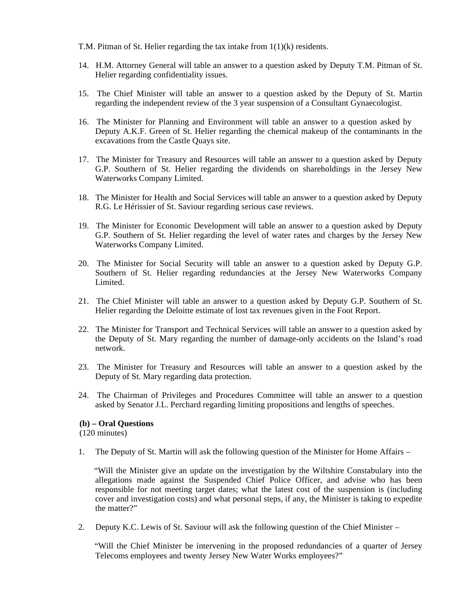T.M. Pitman of St. Helier regarding the tax intake from 1(1)(k) residents.

- 14. H.M. Attorney General will table an answer to a question asked by Deputy T.M. Pitman of St. Helier regarding confidentiality issues.
- 15. The Chief Minister will table an answer to a question asked by the Deputy of St. Martin regarding the independent review of the 3 year suspension of a Consultant Gynaecologist.
- 16. The Minister for Planning and Environment will table an answer to a question asked by Deputy A.K.F. Green of St. Helier regarding the chemical makeup of the contaminants in the excavations from the Castle Quays site.
- 17. The Minister for Treasury and Resources will table an answer to a question asked by Deputy G.P. Southern of St. Helier regarding the dividends on shareholdings in the Jersey New Waterworks Company Limited.
- 18. The Minister for Health and Social Services will table an answer to a question asked by Deputy R.G. Le Hérissier of St. Saviour regarding serious case reviews.
- 19. The Minister for Economic Development will table an answer to a question asked by Deputy G.P. Southern of St. Helier regarding the level of water rates and charges by the Jersey New Waterworks Company Limited.
- 20. The Minister for Social Security will table an answer to a question asked by Deputy G.P. Southern of St. Helier regarding redundancies at the Jersey New Waterworks Company Limited.
- 21. The Chief Minister will table an answer to a question asked by Deputy G.P. Southern of St. Helier regarding the Deloitte estimate of lost tax revenues given in the Foot Report.
- 22. The Minister for Transport and Technical Services will table an answer to a question asked by the Deputy of St. Mary regarding the number of damage-only accidents on the Island's road network.
- 23. The Minister for Treasury and Resources will table an answer to a question asked by the Deputy of St. Mary regarding data protection.
- 24. The Chairman of Privileges and Procedures Committee will table an answer to a question asked by Senator J.L. Perchard regarding limiting propositions and lengths of speeches.

#### **(b) – Oral Questions**

(120 minutes)

1. The Deputy of St. Martin will ask the following question of the Minister for Home Affairs –

 "Will the Minister give an update on the investigation by the Wiltshire Constabulary into the allegations made against the Suspended Chief Police Officer, and advise who has been responsible for not meeting target dates; what the latest cost of the suspension is (including cover and investigation costs) and what personal steps, if any, the Minister is taking to expedite the matter?"

2. Deputy K.C. Lewis of St. Saviour will ask the following question of the Chief Minister –

 "Will the Chief Minister be intervening in the proposed redundancies of a quarter of Jersey Telecoms employees and twenty Jersey New Water Works employees?"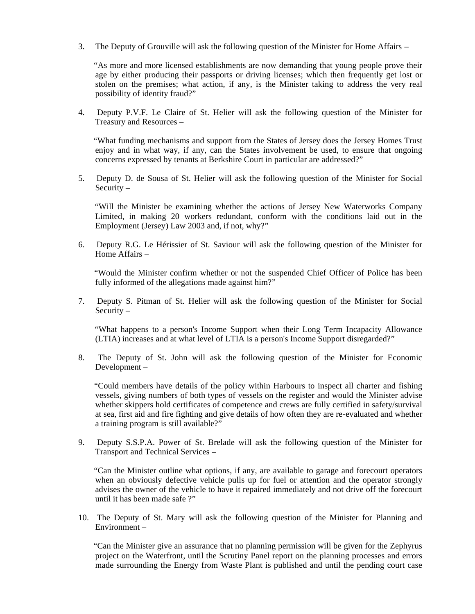3. The Deputy of Grouville will ask the following question of the Minister for Home Affairs –

 "As more and more licensed establishments are now demanding that young people prove their age by either producing their passports or driving licenses; which then frequently get lost or stolen on the premises; what action, if any, is the Minister taking to address the very real possibility of identity fraud?"

4. Deputy P.V.F. Le Claire of St. Helier will ask the following question of the Minister for Treasury and Resources –

 "What funding mechanisms and support from the States of Jersey does the Jersey Homes Trust enjoy and in what way, if any, can the States involvement be used, to ensure that ongoing concerns expressed by tenants at Berkshire Court in particular are addressed?"

5. Deputy D. de Sousa of St. Helier will ask the following question of the Minister for Social Security –

 "Will the Minister be examining whether the actions of Jersey New Waterworks Company Limited, in making 20 workers redundant, conform with the conditions laid out in the Employment (Jersey) Law 2003 and, if not, why?"

6. Deputy R.G. Le Hérissier of St. Saviour will ask the following question of the Minister for Home Affairs –

 "Would the Minister confirm whether or not the suspended Chief Officer of Police has been fully informed of the allegations made against him?"

7. Deputy S. Pitman of St. Helier will ask the following question of the Minister for Social Security –

 "What happens to a person's Income Support when their Long Term Incapacity Allowance (LTIA) increases and at what level of LTIA is a person's Income Support disregarded?"

8. The Deputy of St. John will ask the following question of the Minister for Economic Development –

 "Could members have details of the policy within Harbours to inspect all charter and fishing vessels, giving numbers of both types of vessels on the register and would the Minister advise whether skippers hold certificates of competence and crews are fully certified in safety/survival at sea, first aid and fire fighting and give details of how often they are re-evaluated and whether a training program is still available?"

9. Deputy S.S.P.A. Power of St. Brelade will ask the following question of the Minister for Transport and Technical Services –

 "Can the Minister outline what options, if any, are available to garage and forecourt operators when an obviously defective vehicle pulls up for fuel or attention and the operator strongly advises the owner of the vehicle to have it repaired immediately and not drive off the forecourt until it has been made safe ?"

10. The Deputy of St. Mary will ask the following question of the Minister for Planning and Environment –

 "Can the Minister give an assurance that no planning permission will be given for the Zephyrus project on the Waterfront, until the Scrutiny Panel report on the planning processes and errors made surrounding the Energy from Waste Plant is published and until the pending court case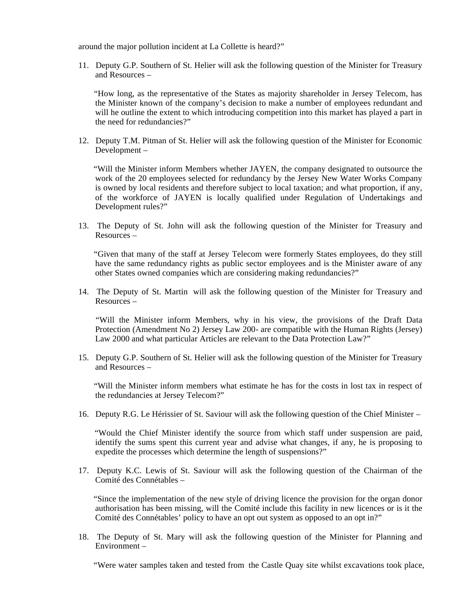around the major pollution incident at La Collette is heard?"

11. Deputy G.P. Southern of St. Helier will ask the following question of the Minister for Treasury and Resources –

 "How long, as the representative of the States as majority shareholder in Jersey Telecom, has the Minister known of the company's decision to make a number of employees redundant and will he outline the extent to which introducing competition into this market has played a part in the need for redundancies?"

12. Deputy T.M. Pitman of St. Helier will ask the following question of the Minister for Economic Development –

 "Will the Minister inform Members whether JAYEN, the company designated to outsource the work of the 20 employees selected for redundancy by the Jersey New Water Works Company is owned by local residents and therefore subject to local taxation; and what proportion, if any, of the workforce of JAYEN is locally qualified under Regulation of Undertakings and Development rules?"

13. The Deputy of St. John will ask the following question of the Minister for Treasury and Resources –

 "Given that many of the staff at Jersey Telecom were formerly States employees, do they still have the same redundancy rights as public sector employees and is the Minister aware of any other States owned companies which are considering making redundancies?"

14. The Deputy of St. Martin will ask the following question of the Minister for Treasury and Resources –

 "Will the Minister inform Members, why in his view, the provisions of the Draft Data Protection (Amendment No 2) Jersey Law 200- are compatible with the Human Rights (Jersey) Law 2000 and what particular Articles are relevant to the Data Protection Law?"

15. Deputy G.P. Southern of St. Helier will ask the following question of the Minister for Treasury and Resources –

 "Will the Minister inform members what estimate he has for the costs in lost tax in respect of the redundancies at Jersey Telecom?"

16. Deputy R.G. Le Hérissier of St. Saviour will ask the following question of the Chief Minister –

 "Would the Chief Minister identify the source from which staff under suspension are paid, identify the sums spent this current year and advise what changes, if any, he is proposing to expedite the processes which determine the length of suspensions?"

17. Deputy K.C. Lewis of St. Saviour will ask the following question of the Chairman of the Comité des Connétables –

 "Since the implementation of the new style of driving licence the provision for the organ donor authorisation has been missing, will the Comité include this facility in new licences or is it the Comité des Connétables' policy to have an opt out system as opposed to an opt in?"

18. The Deputy of St. Mary will ask the following question of the Minister for Planning and Environment –

"Were water samples taken and tested from the Castle Quay site whilst excavations took place,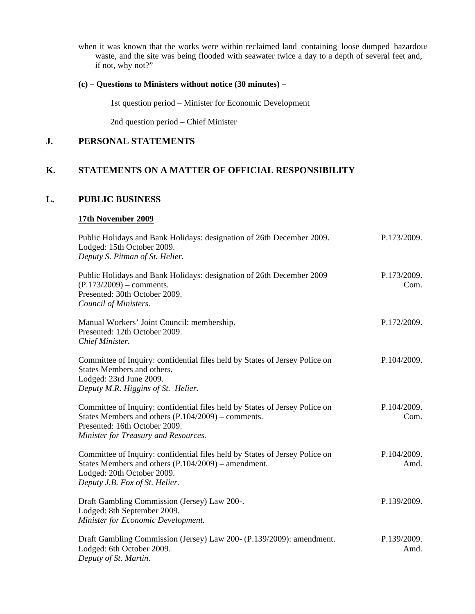when it was known that the works were within reclaimed land containing loose dumped hazardous waste, and the site was being flooded with seawater twice a day to a depth of several feet and, if not, why not?"

#### **(c) – Questions to Ministers without notice (30 minutes) –**

1st question period – Minister for Economic Development

2nd question period – Chief Minister

## **J. PERSONAL STATEMENTS**

## **K. STATEMENTS ON A MATTER OF OFFICIAL RESPONSIBILITY**

#### **L. PUBLIC BUSINESS**

#### **17th November 2009**

| Public Holidays and Bank Holidays: designation of 26th December 2009.<br>Lodged: 15th October 2009.<br>Deputy S. Pitman of St. Helier.                                                                       | P.173/2009.         |
|--------------------------------------------------------------------------------------------------------------------------------------------------------------------------------------------------------------|---------------------|
| Public Holidays and Bank Holidays: designation of 26th December 2009<br>$(P.173/2009)$ – comments.<br>Presented: 30th October 2009.<br>Council of Ministers.                                                 | P.173/2009.<br>Com. |
| Manual Workers' Joint Council: membership.<br>Presented: 12th October 2009.<br>Chief Minister.                                                                                                               | P.172/2009.         |
| Committee of Inquiry: confidential files held by States of Jersey Police on<br>States Members and others.<br>Lodged: 23rd June 2009.<br>Deputy M.R. Higgins of St. Helier.                                   | P.104/2009.         |
| Committee of Inquiry: confidential files held by States of Jersey Police on<br>States Members and others $(P.104/2009)$ – comments.<br>Presented: 16th October 2009.<br>Minister for Treasury and Resources. | P.104/2009.<br>Com. |
| Committee of Inquiry: confidential files held by States of Jersey Police on<br>States Members and others (P.104/2009) - amendment.<br>Lodged: 20th October 2009.<br>Deputy J.B. Fox of St. Helier.           | P.104/2009.<br>Amd. |
| Draft Gambling Commission (Jersey) Law 200-.<br>Lodged: 8th September 2009.<br>Minister for Economic Development.                                                                                            | P.139/2009.         |
| Draft Gambling Commission (Jersey) Law 200- (P.139/2009): amendment.<br>Lodged: 6th October 2009.<br>Deputy of St. Martin.                                                                                   | P.139/2009.<br>Amd. |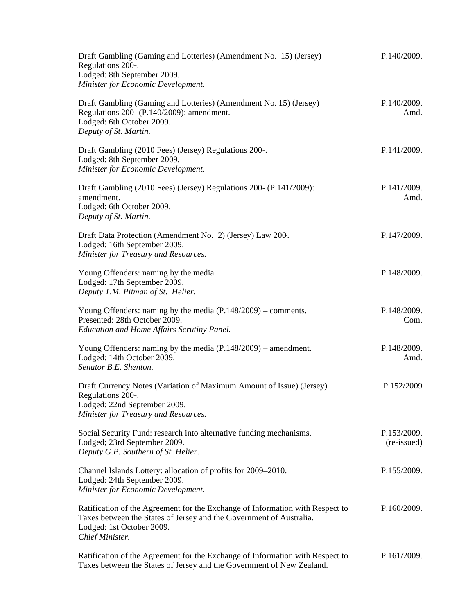| Draft Gambling (Gaming and Lotteries) (Amendment No. 15) (Jersey)<br>Regulations 200-.<br>Lodged: 8th September 2009.<br>Minister for Economic Development.                                          | P.140/2009.                |
|------------------------------------------------------------------------------------------------------------------------------------------------------------------------------------------------------|----------------------------|
| Draft Gambling (Gaming and Lotteries) (Amendment No. 15) (Jersey)<br>Regulations 200- (P.140/2009): amendment.<br>Lodged: 6th October 2009.<br>Deputy of St. Martin.                                 | P.140/2009.<br>Amd.        |
| Draft Gambling (2010 Fees) (Jersey) Regulations 200-.<br>Lodged: 8th September 2009.<br>Minister for Economic Development.                                                                           | P.141/2009.                |
| Draft Gambling (2010 Fees) (Jersey) Regulations 200- (P.141/2009):<br>amendment.<br>Lodged: 6th October 2009.<br>Deputy of St. Martin.                                                               | P.141/2009.<br>Amd.        |
| Draft Data Protection (Amendment No. 2) (Jersey) Law 200.<br>Lodged: 16th September 2009.<br>Minister for Treasury and Resources.                                                                    | P.147/2009.                |
| Young Offenders: naming by the media.<br>Lodged: 17th September 2009.<br>Deputy T.M. Pitman of St. Helier.                                                                                           | P.148/2009.                |
| Young Offenders: naming by the media $(P.148/2009)$ – comments.<br>Presented: 28th October 2009.<br>Education and Home Affairs Scrutiny Panel.                                                       | P.148/2009.<br>Com.        |
| Young Offenders: naming by the media $(P.148/2009)$ – amendment.<br>Lodged: 14th October 2009.<br>Senator B.E. Shenton.                                                                              | P.148/2009.<br>Amd.        |
| Draft Currency Notes (Variation of Maximum Amount of Issue) (Jersey)<br>Regulations 200-.<br>Lodged: 22nd September 2009.<br>Minister for Treasury and Resources.                                    | P.152/2009                 |
| Social Security Fund: research into alternative funding mechanisms.<br>Lodged; 23rd September 2009.<br>Deputy G.P. Southern of St. Helier.                                                           | P.153/2009.<br>(re-issued) |
| Channel Islands Lottery: allocation of profits for 2009–2010.<br>Lodged: 24th September 2009.<br>Minister for Economic Development.                                                                  | P.155/2009.                |
| Ratification of the Agreement for the Exchange of Information with Respect to<br>Taxes between the States of Jersey and the Government of Australia.<br>Lodged: 1st October 2009.<br>Chief Minister. | P.160/2009.                |
| Ratification of the Agreement for the Exchange of Information with Respect to<br>Taxes between the States of Jersey and the Government of New Zealand.                                               | P.161/2009.                |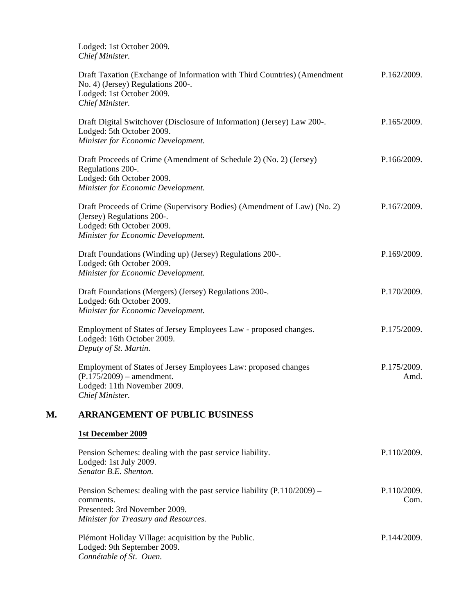Lodged: 1st October 2009. *Chief Minister.*

|    | Draft Taxation (Exchange of Information with Third Countries) (Amendment<br>No. 4) (Jersey) Regulations 200-.<br>Lodged: 1st October 2009.<br>Chief Minister.            | P.162/2009.         |
|----|--------------------------------------------------------------------------------------------------------------------------------------------------------------------------|---------------------|
|    | Draft Digital Switchover (Disclosure of Information) (Jersey) Law 200-.<br>Lodged: 5th October 2009.<br>Minister for Economic Development.                               | P.165/2009.         |
|    | Draft Proceeds of Crime (Amendment of Schedule 2) (No. 2) (Jersey)<br>Regulations 200-.<br>Lodged: 6th October 2009.<br>Minister for Economic Development.               | P.166/2009.         |
|    | Draft Proceeds of Crime (Supervisory Bodies) (Amendment of Law) (No. 2)<br>(Jersey) Regulations 200-.<br>Lodged: 6th October 2009.<br>Minister for Economic Development. | P.167/2009.         |
|    | Draft Foundations (Winding up) (Jersey) Regulations 200-.<br>Lodged: 6th October 2009.<br>Minister for Economic Development.                                             | P.169/2009.         |
|    | Draft Foundations (Mergers) (Jersey) Regulations 200-.<br>Lodged: 6th October 2009.<br>Minister for Economic Development.                                                | P.170/2009.         |
|    | Employment of States of Jersey Employees Law - proposed changes.<br>Lodged: 16th October 2009.<br>Deputy of St. Martin.                                                  | P.175/2009.         |
|    | Employment of States of Jersey Employees Law: proposed changes<br>$(P.175/2009)$ – amendment.<br>Lodged: 11th November 2009.<br>Chief Minister.                          | P.175/2009.<br>Amd. |
| М. | <b>ARRANGEMENT OF PUBLIC BUSINESS</b>                                                                                                                                    |                     |
|    | 1st December 2009                                                                                                                                                        |                     |
|    | Pension Schemes: dealing with the past service liability.<br>Lodged: 1st July 2009.<br>Senator B.E. Shenton.                                                             | P.110/2009.         |
|    | Pension Schemes: dealing with the past service liability (P.110/2009) -<br>comments.<br>Presented: 3rd November 2009.<br>Minister for Treasury and Resources.            | P.110/2009.<br>Com. |
|    | Plémont Holiday Village: acquisition by the Public.<br>Lodged: 9th September 2009.<br>Connétable of St. Ouen.                                                            | P.144/2009.         |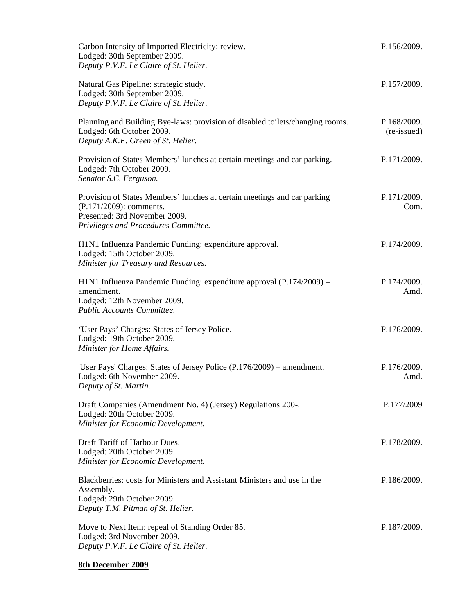| Carbon Intensity of Imported Electricity: review.<br>Lodged: 30th September 2009.<br>Deputy P.V.F. Le Claire of St. Helier.                                                  | P.156/2009.                |
|------------------------------------------------------------------------------------------------------------------------------------------------------------------------------|----------------------------|
| Natural Gas Pipeline: strategic study.<br>Lodged: 30th September 2009.<br>Deputy P.V.F. Le Claire of St. Helier.                                                             | P.157/2009.                |
| Planning and Building Bye-laws: provision of disabled toilets/changing rooms.<br>Lodged: 6th October 2009.<br>Deputy A.K.F. Green of St. Helier.                             | P.168/2009.<br>(re-issued) |
| Provision of States Members' lunches at certain meetings and car parking.<br>Lodged: 7th October 2009.<br>Senator S.C. Ferguson.                                             | P.171/2009.                |
| Provision of States Members' lunches at certain meetings and car parking<br>(P.171/2009): comments.<br>Presented: 3rd November 2009.<br>Privileges and Procedures Committee. | P.171/2009.<br>Com.        |
| H1N1 Influenza Pandemic Funding: expenditure approval.<br>Lodged: 15th October 2009.<br>Minister for Treasury and Resources.                                                 | P.174/2009.                |
| H1N1 Influenza Pandemic Funding: expenditure approval (P.174/2009) –<br>amendment.<br>Lodged: 12th November 2009.<br>Public Accounts Committee.                              | P.174/2009.<br>Amd.        |
| 'User Pays' Charges: States of Jersey Police.<br>Lodged: 19th October 2009.<br>Minister for Home Affairs.                                                                    | P.176/2009.                |
| 'User Pays' Charges: States of Jersey Police (P.176/2009) – amendment.<br>Lodged: 6th November 2009.<br>Deputy of St. Martin.                                                | P.176/2009.<br>Amd.        |
| Draft Companies (Amendment No. 4) (Jersey) Regulations 200-.<br>Lodged: 20th October 2009.<br>Minister for Economic Development.                                             | P.177/2009                 |
| Draft Tariff of Harbour Dues.<br>Lodged: 20th October 2009.<br>Minister for Economic Development.                                                                            | P.178/2009.                |
| Blackberries: costs for Ministers and Assistant Ministers and use in the<br>Assembly.<br>Lodged: 29th October 2009.<br>Deputy T.M. Pitman of St. Helier.                     | P.186/2009.                |
| Move to Next Item: repeal of Standing Order 85.<br>Lodged: 3rd November 2009.<br>Deputy P.V.F. Le Claire of St. Helier.                                                      | P.187/2009.                |

## **8th December 2009**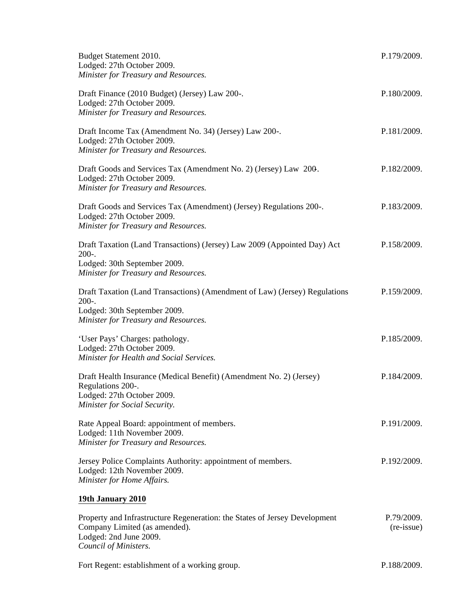| Budget Statement 2010.<br>Lodged: 27th October 2009.<br>Minister for Treasury and Resources.                                                                                                          | P.179/2009.              |
|-------------------------------------------------------------------------------------------------------------------------------------------------------------------------------------------------------|--------------------------|
| Draft Finance (2010 Budget) (Jersey) Law 200-.<br>Lodged: 27th October 2009.<br>Minister for Treasury and Resources.                                                                                  | P.180/2009.              |
| Draft Income Tax (Amendment No. 34) (Jersey) Law 200-.<br>Lodged: 27th October 2009.<br>Minister for Treasury and Resources.                                                                          | P.181/2009.              |
| Draft Goods and Services Tax (Amendment No. 2) (Jersey) Law 200.<br>Lodged: 27th October 2009.<br>Minister for Treasury and Resources.                                                                | P.182/2009.              |
| Draft Goods and Services Tax (Amendment) (Jersey) Regulations 200-.<br>Lodged: 27th October 2009.<br>Minister for Treasury and Resources.                                                             | P.183/2009.              |
| Draft Taxation (Land Transactions) (Jersey) Law 2009 (Appointed Day) Act<br>$200-.$<br>Lodged: 30th September 2009.                                                                                   | P.158/2009.              |
| Minister for Treasury and Resources.<br>Draft Taxation (Land Transactions) (Amendment of Law) (Jersey) Regulations<br>$200-.$<br>Lodged: 30th September 2009.<br>Minister for Treasury and Resources. | P.159/2009.              |
| 'User Pays' Charges: pathology.<br>Lodged: 27th October 2009.<br>Minister for Health and Social Services.                                                                                             | P.185/2009.              |
| Draft Health Insurance (Medical Benefit) (Amendment No. 2) (Jersey)<br>Regulations 200-.<br>Lodged: 27th October 2009<br>Minister for Social Security.                                                | P.184/2009.              |
| Rate Appeal Board: appointment of members.<br>Lodged: 11th November 2009.<br>Minister for Treasury and Resources.                                                                                     | P.191/2009.              |
| Jersey Police Complaints Authority: appointment of members.<br>Lodged: 12th November 2009.<br>Minister for Home Affairs.                                                                              | P.192/2009.              |
| 19th January 2010                                                                                                                                                                                     |                          |
| Property and Infrastructure Regeneration: the States of Jersey Development<br>Company Limited (as amended).<br>Lodged: 2nd June 2009.<br>Council of Ministers.                                        | P.79/2009.<br>(re-issue) |

Fort Regent: establishment of a working group. P.188/2009.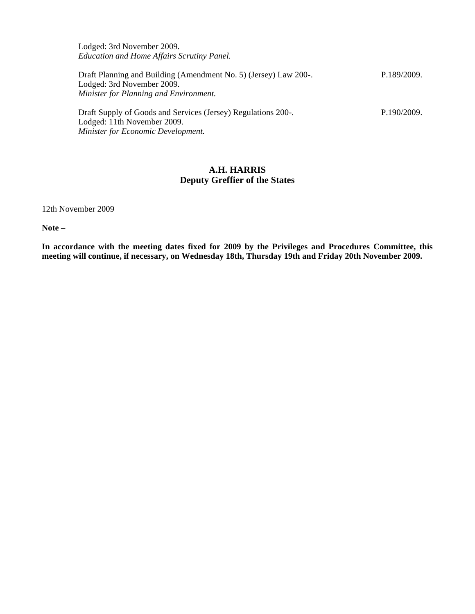Lodged: 3rd November 2009. *Education and Home Affairs Scrutiny Panel.*

| Draft Planning and Building (Amendment No. 5) (Jersey) Law 200-.<br>Lodged: 3rd November 2009.<br>Minister for Planning and Environment. | P.189/2009. |
|------------------------------------------------------------------------------------------------------------------------------------------|-------------|
| Draft Supply of Goods and Services (Jersey) Regulations 200-.<br>Lodged: 11th November 2009.                                             | P.190/2009. |

*Minister for Economic Development.*

#### **A.H. HARRIS Deputy Greffier of the States**

12th November 2009

**Note –**

**In accordance with the meeting dates fixed for 2009 by the Privileges and Procedures Committee, this meeting will continue, if necessary, on Wednesday 18th, Thursday 19th and Friday 20th November 2009.**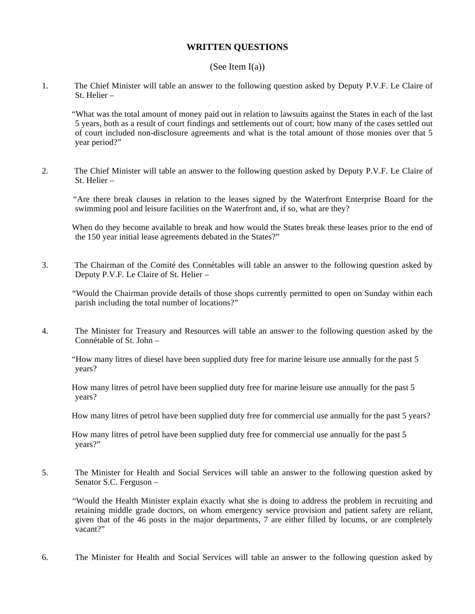#### **WRITTEN QUESTIONS**

#### (See Item  $I(a)$ )

1. The Chief Minister will table an answer to the following question asked by Deputy P.V.F. Le Claire of St. Helier –

 "What was the total amount of money paid out in relation to lawsuits against the States in each of the last 5 years, both as a result of court findings and settlements out of court; how many of the cases settled out of court included non-disclosure agreements and what is the total amount of those monies over that 5 year period?"

2. The Chief Minister will table an answer to the following question asked by Deputy P.V.F. Le Claire of St. Helier –

 "Are there break clauses in relation to the leases signed by the Waterfront Enterprise Board for the swimming pool and leisure facilities on the Waterfront and, if so, what are they?

 When do they become available to break and how would the States break these leases prior to the end of the 150 year initial lease agreements debated in the States?"

3. The Chairman of the Comité des Connétables will table an answer to the following question asked by Deputy P.V.F. Le Claire of St. Helier –

 "Would the Chairman provide details of those shops currently permitted to open on Sunday within each parish including the total number of locations?"

4. The Minister for Treasury and Resources will table an answer to the following question asked by the Connétable of St. John –

 "How many litres of diesel have been supplied duty free for marine leisure use annually for the past 5 years?

 How many litres of petrol have been supplied duty free for marine leisure use annually for the past 5 years?

How many litres of petrol have been supplied duty free for commercial use annually for the past 5 years?

 How many litres of petrol have been supplied duty free for commercial use annually for the past 5 years?"

5. The Minister for Health and Social Services will table an answer to the following question asked by Senator S.C. Ferguson –

 "Would the Health Minister explain exactly what she is doing to address the problem in recruiting and retaining middle grade doctors, on whom emergency service provision and patient safety are reliant, given that of the 46 posts in the major departments, 7 are either filled by locums, or are completely vacant?"

6. The Minister for Health and Social Services will table an answer to the following question asked by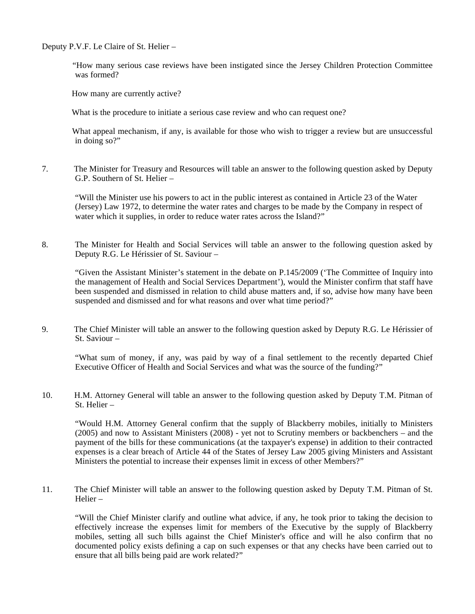Deputy P.V.F. Le Claire of St. Helier –

 "How many serious case reviews have been instigated since the Jersey Children Protection Committee was formed?

How many are currently active?

What is the procedure to initiate a serious case review and who can request one?

 What appeal mechanism, if any, is available for those who wish to trigger a review but are unsuccessful in doing so?"

7. The Minister for Treasury and Resources will table an answer to the following question asked by Deputy G.P. Southern of St. Helier –

"Will the Minister use his powers to act in the public interest as contained in Article 23 of the Water (Jersey) Law 1972, to determine the water rates and charges to be made by the Company in respect of water which it supplies, in order to reduce water rates across the Island?"

8. The Minister for Health and Social Services will table an answer to the following question asked by Deputy R.G. Le Hérissier of St. Saviour –

"Given the Assistant Minister's statement in the debate on P.145/2009 ('The Committee of Inquiry into the management of Health and Social Services Department'), would the Minister confirm that staff have been suspended and dismissed in relation to child abuse matters and, if so, advise how many have been suspended and dismissed and for what reasons and over what time period?"

9. The Chief Minister will table an answer to the following question asked by Deputy R.G. Le Hérissier of St. Saviour –

"What sum of money, if any, was paid by way of a final settlement to the recently departed Chief Executive Officer of Health and Social Services and what was the source of the funding?"

10. H.M. Attorney General will table an answer to the following question asked by Deputy T.M. Pitman of St. Helier –

"Would H.M. Attorney General confirm that the supply of Blackberry mobiles, initially to Ministers (2005) and now to Assistant Ministers (2008) - yet not to Scrutiny members or backbenchers – and the payment of the bills for these communications (at the taxpayer's expense) in addition to their contracted expenses is a clear breach of Article 44 of the States of Jersey Law 2005 giving Ministers and Assistant Ministers the potential to increase their expenses limit in excess of other Members?"

11. The Chief Minister will table an answer to the following question asked by Deputy T.M. Pitman of St. Helier –

"Will the Chief Minister clarify and outline what advice, if any, he took prior to taking the decision to effectively increase the expenses limit for members of the Executive by the supply of Blackberry mobiles, setting all such bills against the Chief Minister's office and will he also confirm that no documented policy exists defining a cap on such expenses or that any checks have been carried out to ensure that all bills being paid are work related?"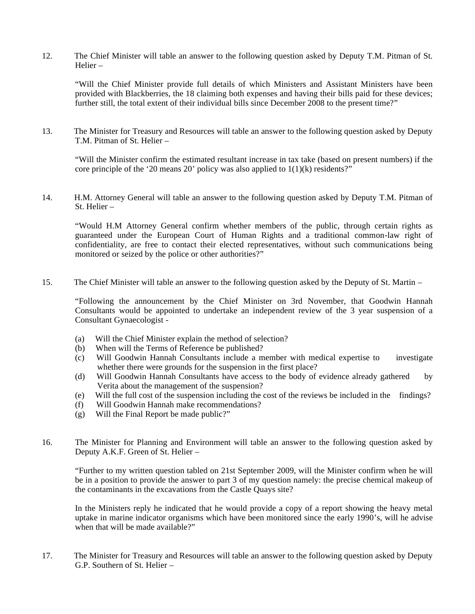12. The Chief Minister will table an answer to the following question asked by Deputy T.M. Pitman of St. Helier –

"Will the Chief Minister provide full details of which Ministers and Assistant Ministers have been provided with Blackberries, the 18 claiming both expenses and having their bills paid for these devices; further still, the total extent of their individual bills since December 2008 to the present time?"

13. The Minister for Treasury and Resources will table an answer to the following question asked by Deputy T.M. Pitman of St. Helier –

"Will the Minister confirm the estimated resultant increase in tax take (based on present numbers) if the core principle of the '20 means 20' policy was also applied to  $1(1)(k)$  residents?"

14. H.M. Attorney General will table an answer to the following question asked by Deputy T.M. Pitman of St. Helier –

"Would H.M Attorney General confirm whether members of the public, through certain rights as guaranteed under the European Court of Human Rights and a traditional common-law right of confidentiality, are free to contact their elected representatives, without such communications being monitored or seized by the police or other authorities?"

15. The Chief Minister will table an answer to the following question asked by the Deputy of St. Martin –

"Following the announcement by the Chief Minister on 3rd November, that Goodwin Hannah Consultants would be appointed to undertake an independent review of the 3 year suspension of a Consultant Gynaecologist -

- (a) Will the Chief Minister explain the method of selection?
- (b) When will the Terms of Reference be published?
- (c) Will Goodwin Hannah Consultants include a member with medical expertise to investigate whether there were grounds for the suspension in the first place?
- (d) Will Goodwin Hannah Consultants have access to the body of evidence already gathered by Verita about the management of the suspension?
- (e) Will the full cost of the suspension including the cost of the reviews be included in the findings?
- (f) Will Goodwin Hannah make recommendations?
- (g) Will the Final Report be made public?"
- 16. The Minister for Planning and Environment will table an answer to the following question asked by Deputy A.K.F. Green of St. Helier –

"Further to my written question tabled on 21st September 2009, will the Minister confirm when he will be in a position to provide the answer to part 3 of my question namely: the precise chemical makeup of the contaminants in the excavations from the Castle Quays site?

In the Ministers reply he indicated that he would provide a copy of a report showing the heavy metal uptake in marine indicator organisms which have been monitored since the early 1990's, will he advise when that will be made available?"

17. The Minister for Treasury and Resources will table an answer to the following question asked by Deputy G.P. Southern of St. Helier –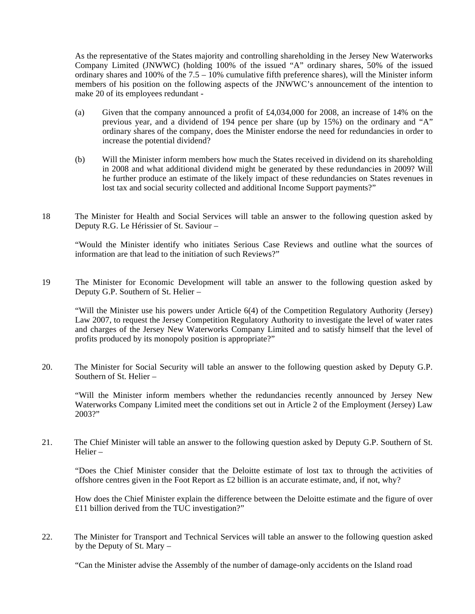As the representative of the States majority and controlling shareholding in the Jersey New Waterworks Company Limited (JNWWC) (holding 100% of the issued "A" ordinary shares, 50% of the issued ordinary shares and 100% of the 7.5 – 10% cumulative fifth preference shares), will the Minister inform members of his position on the following aspects of the JNWWC's announcement of the intention to make 20 of its employees redundant -

- (a) Given that the company announced a profit of £4,034,000 for 2008, an increase of 14% on the previous year, and a dividend of 194 pence per share (up by 15%) on the ordinary and "A" ordinary shares of the company, does the Minister endorse the need for redundancies in order to increase the potential dividend?
- (b) Will the Minister inform members how much the States received in dividend on its shareholding in 2008 and what additional dividend might be generated by these redundancies in 2009? Will he further produce an estimate of the likely impact of these redundancies on States revenues in lost tax and social security collected and additional Income Support payments?"
- 18 The Minister for Health and Social Services will table an answer to the following question asked by Deputy R.G. Le Hérissier of St. Saviour –

"Would the Minister identify who initiates Serious Case Reviews and outline what the sources of information are that lead to the initiation of such Reviews?"

19 The Minister for Economic Development will table an answer to the following question asked by Deputy G.P. Southern of St. Helier –

"Will the Minister use his powers under Article 6(4) of the Competition Regulatory Authority (Jersey) Law 2007, to request the Jersey Competition Regulatory Authority to investigate the level of water rates and charges of the Jersey New Waterworks Company Limited and to satisfy himself that the level of profits produced by its monopoly position is appropriate?"

20. The Minister for Social Security will table an answer to the following question asked by Deputy G.P. Southern of St. Helier –

"Will the Minister inform members whether the redundancies recently announced by Jersey New Waterworks Company Limited meet the conditions set out in Article 2 of the Employment (Jersey) Law 2003?"

21. The Chief Minister will table an answer to the following question asked by Deputy G.P. Southern of St. Helier –

"Does the Chief Minister consider that the Deloitte estimate of lost tax to through the activities of offshore centres given in the Foot Report as £2 billion is an accurate estimate, and, if not, why?

How does the Chief Minister explain the difference between the Deloitte estimate and the figure of over £11 billion derived from the TUC investigation?"

22. The Minister for Transport and Technical Services will table an answer to the following question asked by the Deputy of St. Mary –

"Can the Minister advise the Assembly of the number of damage-only accidents on the Island road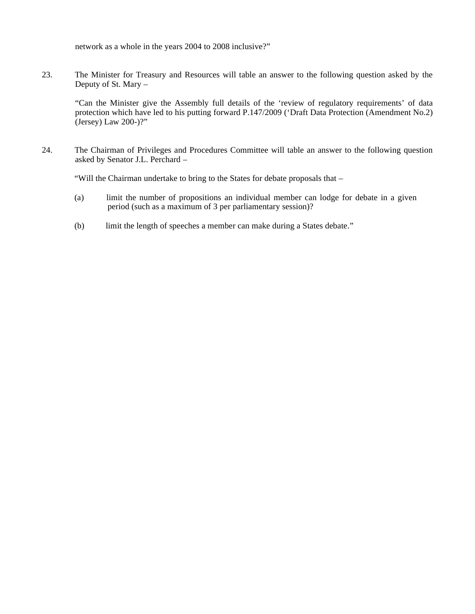network as a whole in the years 2004 to 2008 inclusive?"

23. The Minister for Treasury and Resources will table an answer to the following question asked by the Deputy of St. Mary –

"Can the Minister give the Assembly full details of the 'review of regulatory requirements' of data protection which have led to his putting forward P.147/2009 ('Draft Data Protection (Amendment No.2) (Jersey) Law 200-)?"

24. The Chairman of Privileges and Procedures Committee will table an answer to the following question asked by Senator J.L. Perchard –

"Will the Chairman undertake to bring to the States for debate proposals that –

- (a) limit the number of propositions an individual member can lodge for debate in a given period (such as a maximum of 3 per parliamentary session)?
- (b) limit the length of speeches a member can make during a States debate."